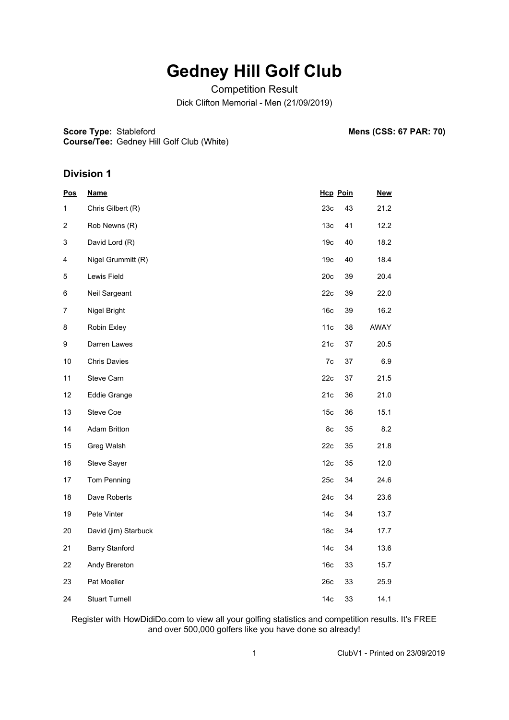# **Gedney Hill Golf Club**

Competition Result

Dick Clifton Memorial - Men (21/09/2019)

**Score Type: Stableford** 

**Mens (CSS: 67 PAR: 70)** 

**Course/Tee:** Gedney Hill Golf Club (White)

### **Division 1**

| Pos                       | <b>Name</b>           | <b>Hcp Poin</b> |    | <b>New</b> |
|---------------------------|-----------------------|-----------------|----|------------|
| 1                         | Chris Gilbert (R)     | 23c             | 43 | 21.2       |
| $\overline{c}$            | Rob Newns (R)         | 13 <sub>c</sub> | 41 | 12.2       |
| $\ensuremath{\mathsf{3}}$ | David Lord (R)        | 19 <sub>c</sub> | 40 | 18.2       |
| 4                         | Nigel Grummitt (R)    | 19 <sub>c</sub> | 40 | 18.4       |
| $\mathbf 5$               | Lewis Field           | 20c             | 39 | 20.4       |
| 6                         | Neil Sargeant         | 22c             | 39 | 22.0       |
| $\boldsymbol{7}$          | Nigel Bright          | 16 <sub>c</sub> | 39 | 16.2       |
| 8                         | Robin Exley           | 11c             | 38 | AWAY       |
| 9                         | Darren Lawes          | 21c             | 37 | 20.5       |
| $10$                      | <b>Chris Davies</b>   | 7c              | 37 | 6.9        |
| 11                        | Steve Carn            | 22c             | 37 | 21.5       |
| 12                        | <b>Eddie Grange</b>   | 21c             | 36 | 21.0       |
| 13                        | Steve Coe             | 15 <sub>c</sub> | 36 | 15.1       |
| 14                        | <b>Adam Britton</b>   | 8c              | 35 | 8.2        |
| 15                        | Greg Walsh            | 22c             | 35 | 21.8       |
| 16                        | Steve Sayer           | 12c             | 35 | 12.0       |
| 17                        | Tom Penning           | 25c             | 34 | 24.6       |
| 18                        | Dave Roberts          | 24c             | 34 | 23.6       |
| 19                        | Pete Vinter           | 14 <sub>c</sub> | 34 | 13.7       |
| $20\,$                    | David (jim) Starbuck  | 18 <sub>c</sub> | 34 | 17.7       |
| 21                        | <b>Barry Stanford</b> | 14 <sub>c</sub> | 34 | 13.6       |
| 22                        | Andy Brereton         | 16 <sub>c</sub> | 33 | 15.7       |
| 23                        | Pat Moeller           | 26c             | 33 | 25.9       |
| 24                        | <b>Stuart Turnell</b> | 14 <sub>c</sub> | 33 | 14.1       |

Register with HowDidiDo.com to view all your golfing statistics and competition results. It's FREE and over 500,000 golfers like you have done so already!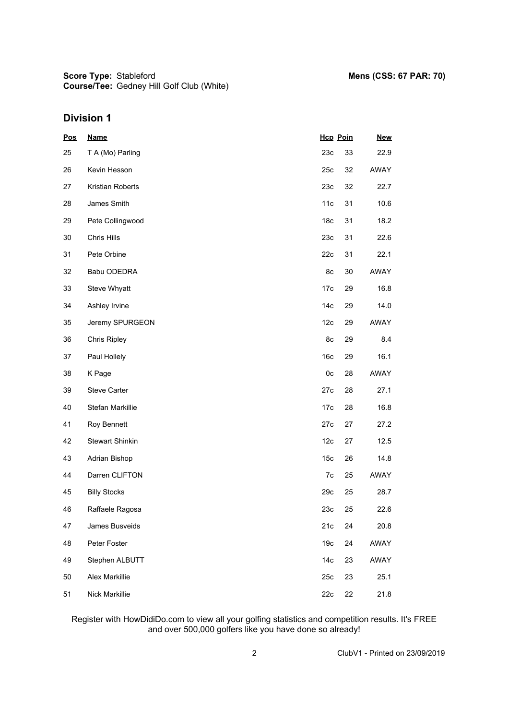**Score Type: Course/Tee:** Gedney Hill Golf Club (White)

## **Division 1**

| $\underline{\text{Pos}}$ | <b>Name</b>            | <b>Hcp Poin</b> |    | <b>New</b> |
|--------------------------|------------------------|-----------------|----|------------|
| 25                       | T A (Mo) Parling       | 23c             | 33 | 22.9       |
| 26                       | Kevin Hesson           | 25c             | 32 | AWAY       |
| 27                       | Kristian Roberts       | 23c             | 32 | 22.7       |
| 28                       | James Smith            | 11c             | 31 | 10.6       |
| 29                       | Pete Collingwood       | 18 <sub>c</sub> | 31 | 18.2       |
| 30                       | Chris Hills            | 23c             | 31 | 22.6       |
| 31                       | Pete Orbine            | 22c             | 31 | 22.1       |
| 32                       | Babu ODEDRA            | 8c              | 30 | AWAY       |
| 33                       | Steve Whyatt           | 17c             | 29 | 16.8       |
| 34                       | Ashley Irvine          | 14 <sub>c</sub> | 29 | 14.0       |
| 35                       | Jeremy SPURGEON        | 12c             | 29 | AWAY       |
| 36                       | <b>Chris Ripley</b>    | 8c              | 29 | 8.4        |
| 37                       | Paul Hollely           | 16c             | 29 | 16.1       |
| 38                       | K Page                 | 0c              | 28 | AWAY       |
| 39                       | <b>Steve Carter</b>    | 27c             | 28 | 27.1       |
| 40                       | Stefan Markillie       | 17c             | 28 | 16.8       |
| 41                       | Roy Bennett            | 27c             | 27 | 27.2       |
| 42                       | <b>Stewart Shinkin</b> | 12c             | 27 | 12.5       |
| 43                       | Adrian Bishop          | 15 <sub>c</sub> | 26 | 14.8       |
| 44                       | Darren CLIFTON         | 7c              | 25 | AWAY       |
| 45                       | <b>Billy Stocks</b>    | 29c             | 25 | 28.7       |
| 46                       | Raffaele Ragosa        | 23c             | 25 | 22.6       |
| 47                       | James Busveids         | 21c             | 24 | 20.8       |
| 48                       | Peter Foster           | 19 <sub>c</sub> | 24 | AWAY       |
| 49                       | Stephen ALBUTT         | 14 <sub>c</sub> | 23 | AWAY       |
| 50                       | Alex Markillie         | 25c             | 23 | 25.1       |
| 51                       | Nick Markillie         | 22c             | 22 | 21.8       |

Register with HowDidiDo.com to view all your golfing statistics and competition results. It's FREE and over 500,000 golfers like you have done so already!